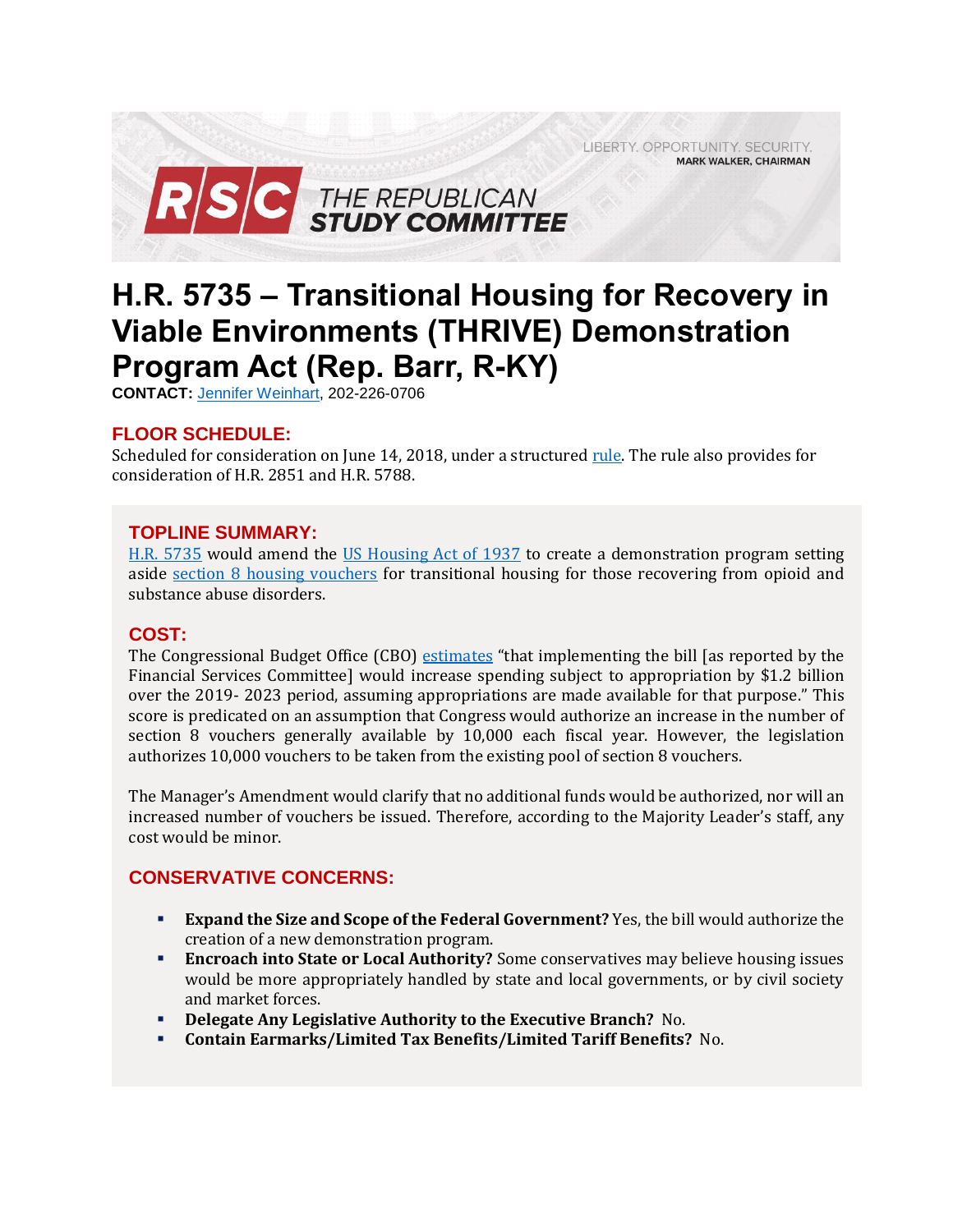LIBERTY. OPPORTUNITY. SECURITY. **MARK WALKER, CHAIRMAN** 



# **H.R. 5735 – Transitional Housing for Recovery in Viable Environments (THRIVE) Demonstration Program Act (Rep. Barr, R-KY)**

**CONTACT:** [Jennifer Weinhart,](mailto:jennifer.weinhart@mail.house.gov) 202-226-0706

## **FLOOR SCHEDULE:**

Scheduled for consideration on June 14, 2018, under a structure[d rule.](https://rules.house.gov/sites/republicans.rules.house.gov/files/Rule_HR2851-HR5735-HR5788.pdf) The rule also provides for consideration of H.R. 2851 and H.R. 5788.

## **TOPLINE SUMMARY:**

[H.R. 5735](https://docs.house.gov/billsthisweek/20180611/BILLS-115HR5735-RCP115-73.pdf) would amend the [US Housing Act of 1937](https://www.gpo.gov/fdsys/pkg/USCODE-2009-title42/pdf/USCODE-2009-title42-chap8.pdf) to create a demonstration program setting aside [section 8 housing vouchers](https://www.hud.gov/topics/housing_choice_voucher_program_section_8) for transitional housing for those recovering from opioid and substance abuse disorders.

## **COST:**

The Congressional Budget Office (CBO) [estimates](https://www.cbo.gov/system/files/115th-congress-2017-2018/costestimate/hr5735.pdf) "that implementing the bill [as reported by the Financial Services Committee] would increase spending subject to appropriation by \$1.2 billion over the 2019- 2023 period, assuming appropriations are made available for that purpose." This score is predicated on an assumption that Congress would authorize an increase in the number of section 8 vouchers generally available by 10,000 each fiscal year. However, the legislation authorizes 10,000 vouchers to be taken from the existing pool of section 8 vouchers.

The Manager's Amendment would clarify that no additional funds would be authorized, nor will an increased number of vouchers be issued. Therefore, according to the Majority Leader's staff, any cost would be minor.

## **CONSERVATIVE CONCERNS:**

- **Expand the Size and Scope of the Federal Government?** Yes, the bill would authorize the creation of a new demonstration program.
- **Encroach into State or Local Authority?** Some conservatives may believe housing issues would be more appropriately handled by state and local governments, or by civil society and market forces.
- **Delegate Any Legislative Authority to the Executive Branch?** No.
- **Contain Earmarks/Limited Tax Benefits/Limited Tariff Benefits?** No.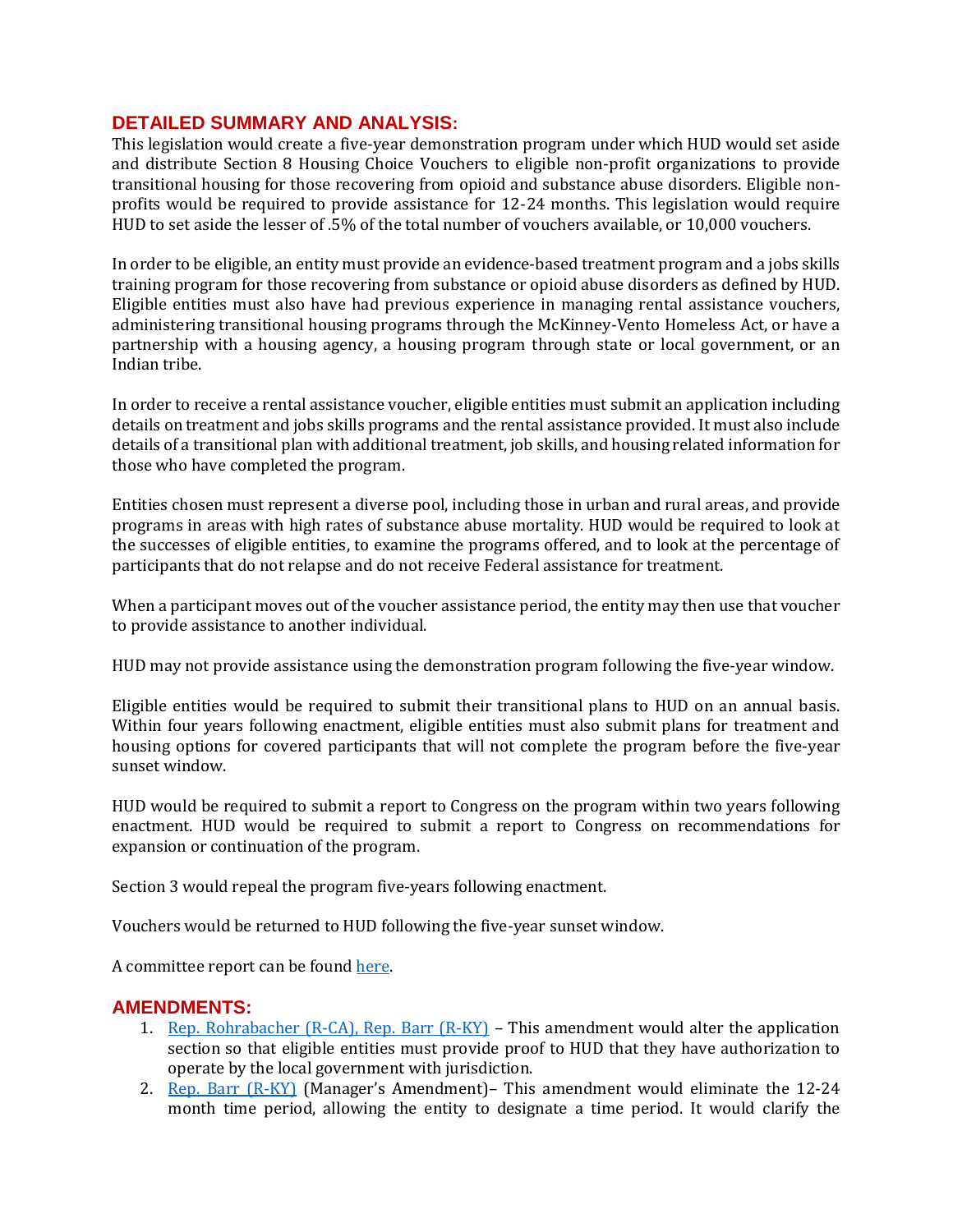#### **DETAILED SUMMARY AND ANALYSIS:**

This legislation would create a five-year demonstration program under which HUD would set aside and distribute Section 8 Housing Choice Vouchers to eligible non-profit organizations to provide transitional housing for those recovering from opioid and substance abuse disorders. Eligible nonprofits would be required to provide assistance for 12-24 months. This legislation would require HUD to set aside the lesser of .5% of the total number of vouchers available, or 10,000 vouchers.

In order to be eligible, an entity must provide an evidence-based treatment program and a jobs skills training program for those recovering from substance or opioid abuse disorders as defined by HUD. Eligible entities must also have had previous experience in managing rental assistance vouchers, administering transitional housing programs through the McKinney-Vento Homeless Act, or have a partnership with a housing agency, a housing program through state or local government, or an Indian tribe.

In order to receive a rental assistance voucher, eligible entities must submit an application including details on treatment and jobs skills programs and the rental assistance provided. It must also include details of a transitional plan with additional treatment, job skills, and housing related information for those who have completed the program.

Entities chosen must represent a diverse pool, including those in urban and rural areas, and provide programs in areas with high rates of substance abuse mortality. HUD would be required to look at the successes of eligible entities, to examine the programs offered, and to look at the percentage of participants that do not relapse and do not receive Federal assistance for treatment.

When a participant moves out of the voucher assistance period, the entity may then use that voucher to provide assistance to another individual.

HUD may not provide assistance using the demonstration program following the five-year window.

Eligible entities would be required to submit their transitional plans to HUD on an annual basis. Within four years following enactment, eligible entities must also submit plans for treatment and housing options for covered participants that will not complete the program before the five-year sunset window.

HUD would be required to submit a report to Congress on the program within two years following enactment. HUD would be required to submit a report to Congress on recommendations for expansion or continuation of the program.

Section 3 would repeal the program five-years following enactment.

Vouchers would be returned to HUD following the five-year sunset window.

A committee report can be found [here.](https://www.gpo.gov/fdsys/pkg/CRPT-115hrpt719/pdf/CRPT-115hrpt719.pdf)

## **AMENDMENTS:**

- 1. [Rep. Rohrabacher \(R-CA\), Rep. Barr \(R-KY\)](https://amendments-rules.house.gov/amendments/Rohr_Amdt_049_THRIVE%20Act611181252425242.pdf) This amendment would alter the application section so that eligible entities must provide proof to HUD that they have authorization to operate by the local government with jurisdiction.
- 2. [Rep. Barr \(R-KY\)](https://amendments-rules.house.gov/amendments/BARR_059_xml612181759315931.pdf) (Manager's Amendment)– This amendment would eliminate the 12-24 month time period, allowing the entity to designate a time period. It would clarify the